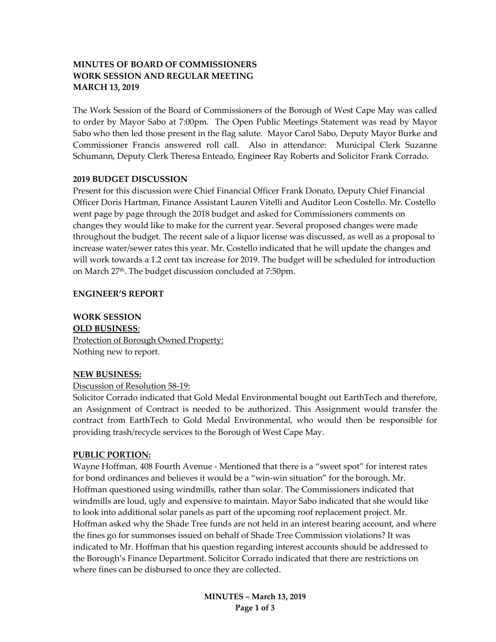## **MINUTES OF BOARD OF COMMISSIONERS WORK SESSION AND REGULAR MEETING MARCH 13, 2019**

The Work Session of the Board of Commissioners of the Borough of West Cape May was called to order by Mayor Sabo at 7:00pm. The Open Public Meetings Statement was read by Mayor Sabo who then led those present in the flag salute. Mayor Carol Sabo, Deputy Mayor Burke and Commissioner Francis answered roll call. Also in attendance: Municipal Clerk Suzanne Schumann, Deputy Clerk Theresa Enteado, Engineer Ray Roberts and Solicitor Frank Corrado.

#### **2019 BUDGET DISCUSSION**

Present for this discussion were Chief Financial Officer Frank Donato, Deputy Chief Financial Officer Doris Hartman, Finance Assistant Lauren Vitelli and Auditor Leon Costello. Mr. Costello went page by page through the 2018 budget and asked for Commissioners comments on changes they would like to make for the current year. Several proposed changes were made throughout the budget. The recent sale of a liquor license was discussed, as well as a proposal to increase water/sewer rates this year. Mr. Costello indicated that he will update the changes and will work towards a 1.2 cent tax increase for 2019. The budget will be scheduled for introduction on March 27th. The budget discussion concluded at 7:50pm.

### **ENGINEER'S REPORT**

**WORK SESSION OLD BUSINESS**: Protection of Borough Owned Property: Nothing new to report.

### **NEW BUSINESS:**

### Discussion of Resolution 58-19:

Solicitor Corrado indicated that Gold Medal Environmental bought out EarthTech and therefore, an Assignment of Contract is needed to be authorized. This Assignment would transfer the contract from EarthTech to Gold Medal Environmental, who would then be responsible for providing trash/recycle services to the Borough of West Cape May.

### **PUBLIC PORTION:**

Wayne Hoffman, 408 Fourth Avenue - Mentioned that there is a "sweet spot" for interest rates for bond ordinances and believes it would be a "win-win situation" for the borough. Mr. Hoffman questioned using windmills, rather than solar. The Commissioners indicated that windmills are loud, ugly and expensive to maintain. Mayor Sabo indicated that she would like to look into additional solar panels as part of the upcoming roof replacement project. Mr. Hoffman asked why the Shade Tree funds are not held in an interest bearing account, and where the fines go for summonses issued on behalf of Shade Tree Commission violations? It was indicated to Mr. Hoffman that his question regarding interest accounts should be addressed to the Borough's Finance Department. Solicitor Corrado indicated that there are restrictions on where fines can be disbursed to once they are collected.

> **MINUTES – March 13, 2019 Page 1 of 3**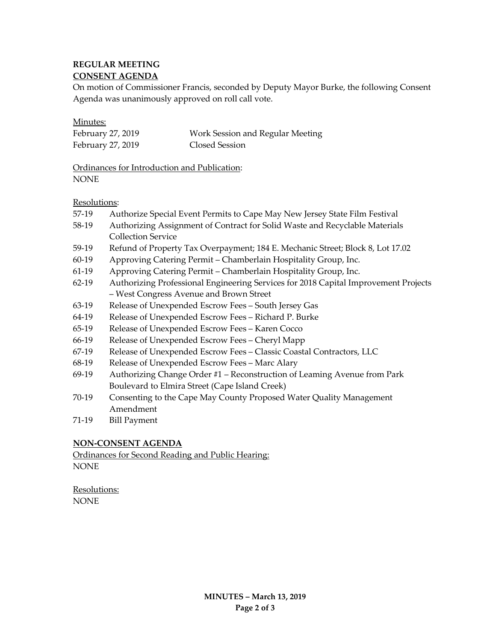# **REGULAR MEETING CONSENT AGENDA**

On motion of Commissioner Francis, seconded by Deputy Mayor Burke, the following Consent Agenda was unanimously approved on roll call vote.

Minutes:

| February 27, 2019 | Work Session and Regular Meeting |
|-------------------|----------------------------------|
| February 27, 2019 | Closed Session                   |

Ordinances for Introduction and Publication: **NONE** 

Resolutions:

- 57-19 Authorize Special Event Permits to Cape May New Jersey State Film Festival
- 58-19 Authorizing Assignment of Contract for Solid Waste and Recyclable Materials Collection Service
- 59-19 Refund of Property Tax Overpayment; 184 E. Mechanic Street; Block 8, Lot 17.02
- 60-19 Approving Catering Permit Chamberlain Hospitality Group, Inc.
- 61-19 Approving Catering Permit Chamberlain Hospitality Group, Inc.
- 62-19 Authorizing Professional Engineering Services for 2018 Capital Improvement Projects – West Congress Avenue and Brown Street
- 63-19 Release of Unexpended Escrow Fees South Jersey Gas
- 64-19 Release of Unexpended Escrow Fees Richard P. Burke
- 65-19 Release of Unexpended Escrow Fees Karen Cocco
- 66-19 Release of Unexpended Escrow Fees Cheryl Mapp
- 67-19 Release of Unexpended Escrow Fees Classic Coastal Contractors, LLC
- 68-19 Release of Unexpended Escrow Fees Marc Alary
- 69-19 Authorizing Change Order #1 Reconstruction of Leaming Avenue from Park Boulevard to Elmira Street (Cape Island Creek)
- 70-19 Consenting to the Cape May County Proposed Water Quality Management Amendment
- 71-19 Bill Payment

# **NON-CONSENT AGENDA**

Ordinances for Second Reading and Public Hearing: **NONE** 

Resolutions: **NONE**